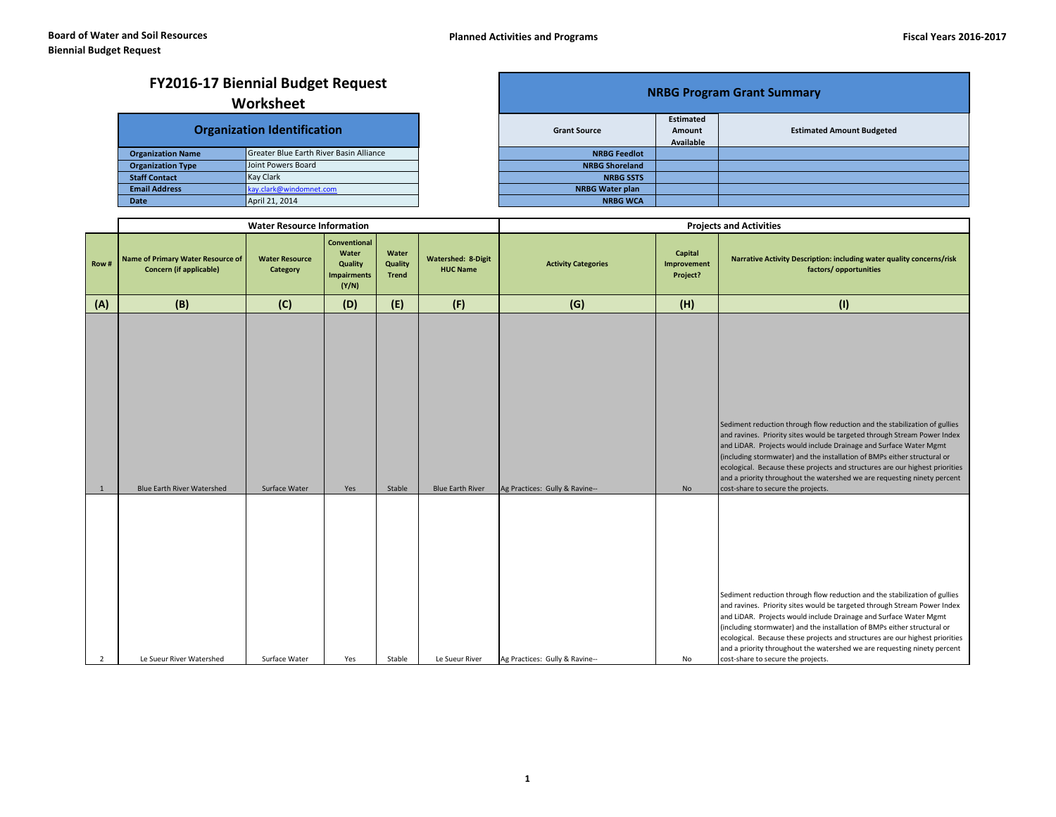## **NRBG Program Grant Summary FY2016-17 Biennial Budget Request**

## **Worksheet**

|                          | <b>Organization Identification</b>      | <b>Grant Source</b>    |
|--------------------------|-----------------------------------------|------------------------|
| <b>Organization Name</b> | Greater Blue Earth River Basin Alliance | <b>NRBG Feedlot</b>    |
| <b>Organization Type</b> | Joint Powers Board                      | <b>NRBG Shoreland</b>  |
| <b>Staff Contact</b>     | <b>Kay Clark</b>                        | <b>NRBG SSTS</b>       |
| <b>Email Address</b>     | kay.clark@windomnet.com                 | <b>NRBG Water plan</b> |
| <b>Date</b>              | April 21, 2014                          | <b>NRBG WCA</b>        |

| <b>NRBG Program Grant Summary</b> |                            |                                  |  |  |  |  |  |  |  |  |
|-----------------------------------|----------------------------|----------------------------------|--|--|--|--|--|--|--|--|
| <b>Grant Source</b>               | <b>Estimated</b><br>Amount | <b>Estimated Amount Budgeted</b> |  |  |  |  |  |  |  |  |
|                                   | Available                  |                                  |  |  |  |  |  |  |  |  |
| <b>NRBG Feedlot</b>               |                            |                                  |  |  |  |  |  |  |  |  |
| <b>NRBG Shoreland</b>             |                            |                                  |  |  |  |  |  |  |  |  |
| <b>NRBG SSTS</b>                  |                            |                                  |  |  |  |  |  |  |  |  |
| <b>NRBG Water plan</b>            |                            |                                  |  |  |  |  |  |  |  |  |
| <b>NRBG WCA</b>                   |                            |                                  |  |  |  |  |  |  |  |  |

|                |                                                                            | <b>Water Resource Information</b>        |                                                                        |                                  |                                              | <b>Projects and Activities</b> |                                    |                                                                                                                                                                                                                                                                                                                                                                                                                                                                                                           |  |
|----------------|----------------------------------------------------------------------------|------------------------------------------|------------------------------------------------------------------------|----------------------------------|----------------------------------------------|--------------------------------|------------------------------------|-----------------------------------------------------------------------------------------------------------------------------------------------------------------------------------------------------------------------------------------------------------------------------------------------------------------------------------------------------------------------------------------------------------------------------------------------------------------------------------------------------------|--|
| Row#           | <b>Name of Primary Water Resource of</b><br><b>Concern (if applicable)</b> | <b>Water Resource</b><br><b>Category</b> | <b>Conventional</b><br>Water<br>Quality<br><b>Impairments</b><br>(Y/N) | Water<br>Quality<br><b>Trend</b> | <b>Watershed: 8-Digit</b><br><b>HUC Name</b> | <b>Activity Categories</b>     | Capital<br>Improvement<br>Project? | Narrative Activity Description: including water quality concerns/risk<br>factors/ opportunities                                                                                                                                                                                                                                                                                                                                                                                                           |  |
| (A)            | (B)                                                                        | (C)                                      | (D)                                                                    | (E)                              | (F)                                          | (G)                            | (H)                                | (1)                                                                                                                                                                                                                                                                                                                                                                                                                                                                                                       |  |
| 1              | Blue Earth River Watershed                                                 | Surface Water                            | Yes                                                                    | Stable                           | <b>Blue Earth River</b>                      | Ag Practices: Gully & Ravine-- | No                                 | Sediment reduction through flow reduction and the stabilization of gullies<br>and ravines. Priority sites would be targeted through Stream Power Index<br>and LiDAR. Projects would include Drainage and Surface Water Mgmt<br>(including stormwater) and the installation of BMPs either structural or<br>ecological. Because these projects and structures are our highest priorities<br>and a priority throughout the watershed we are requesting ninety percent<br>cost-share to secure the projects. |  |
| $\overline{2}$ | Le Sueur River Watershed                                                   | Surface Water                            | Yes                                                                    | Stable                           | Le Sueur River                               | Ag Practices: Gully & Ravine-- | No                                 | Sediment reduction through flow reduction and the stabilization of gullies<br>and ravines. Priority sites would be targeted through Stream Power Index<br>and LiDAR. Projects would include Drainage and Surface Water Mgmt<br>(including stormwater) and the installation of BMPs either structural or<br>ecological. Because these projects and structures are our highest priorities<br>and a priority throughout the watershed we are requesting ninety percent<br>cost-share to secure the projects. |  |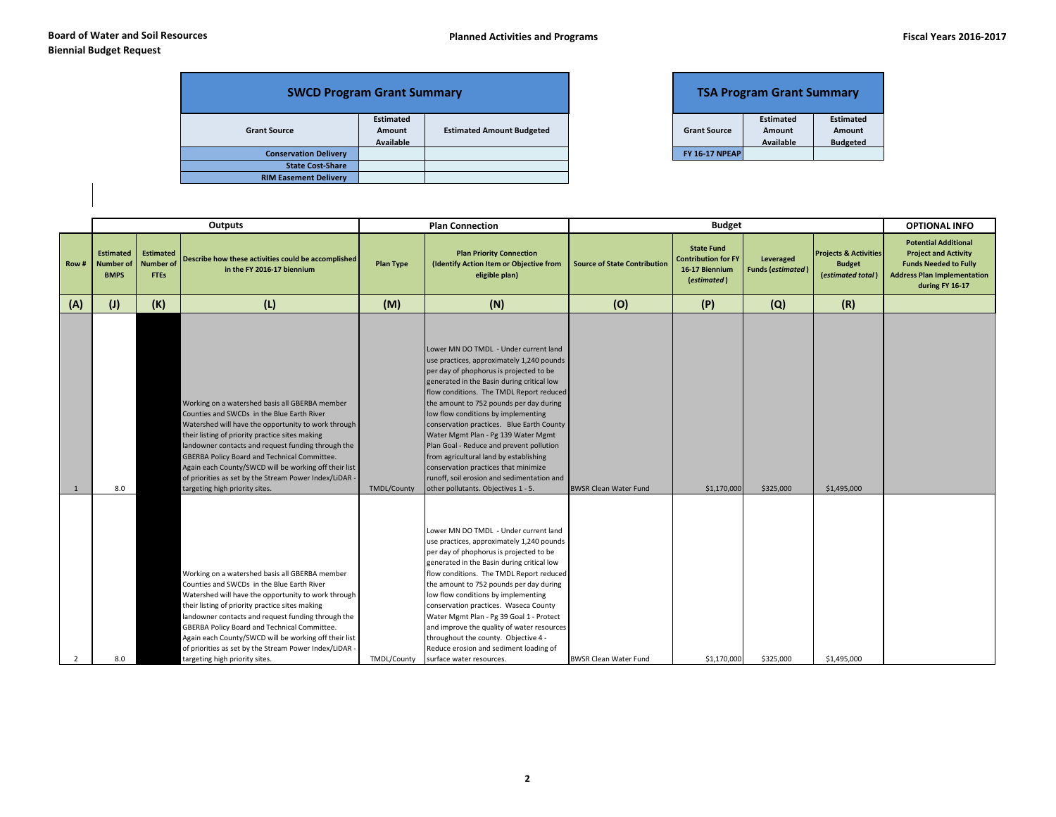| <b>SWCD Program Grant Summary</b> |                                  |                                  | <b>TSA Program Grant Summary</b> |                                         |  |
|-----------------------------------|----------------------------------|----------------------------------|----------------------------------|-----------------------------------------|--|
| <b>Grant Source</b>               | Estimated<br>Amount<br>Available | <b>Estimated Amount Budgeted</b> | <b>Grant Source</b>              | <b>Estimated</b><br>Amount<br>Available |  |
| <b>Conservation Delivery</b>      |                                  |                                  | <b>FY 16-17 NPEAP</b>            |                                         |  |
| <b>State Cost-Share</b>           |                                  |                                  |                                  |                                         |  |
| <b>RIM Easement Delivery</b>      |                                  |                                  |                                  |                                         |  |

|                       | <b>TSA Program Grant Summary</b> |                  |
|-----------------------|----------------------------------|------------------|
|                       | <b>Estimated</b>                 | <b>Estimated</b> |
| <b>Grant Source</b>   | Amount                           | Amount           |
|                       | <b>Available</b>                 | <b>Budgeted</b>  |
| <b>FY 16-17 NPEAP</b> |                                  |                  |

|                |                                                     |                                                     | Outputs                                                                                                                                                                                                                                                                                                                                                                                                                                                           |                    | <b>Plan Connection</b>                                                                                                                                                                                                                                                                                                                                                                                                                                                                                                                                                                                           |                                     | <b>Budget</b>                                                                    |                                       |                                                                        | <b>OPTIONAL INFO</b>                                                                                                                                |
|----------------|-----------------------------------------------------|-----------------------------------------------------|-------------------------------------------------------------------------------------------------------------------------------------------------------------------------------------------------------------------------------------------------------------------------------------------------------------------------------------------------------------------------------------------------------------------------------------------------------------------|--------------------|------------------------------------------------------------------------------------------------------------------------------------------------------------------------------------------------------------------------------------------------------------------------------------------------------------------------------------------------------------------------------------------------------------------------------------------------------------------------------------------------------------------------------------------------------------------------------------------------------------------|-------------------------------------|----------------------------------------------------------------------------------|---------------------------------------|------------------------------------------------------------------------|-----------------------------------------------------------------------------------------------------------------------------------------------------|
| Row#           | <b>Estimated</b><br><b>Number of</b><br><b>BMPS</b> | <b>Estimated</b><br><b>Number of</b><br><b>FTEs</b> | Describe how these activities could be accomplished<br>in the FY 2016-17 biennium                                                                                                                                                                                                                                                                                                                                                                                 | <b>Plan Type</b>   | <b>Plan Priority Connection</b><br>(Identify Action Item or Objective from<br>eligible plan)                                                                                                                                                                                                                                                                                                                                                                                                                                                                                                                     | <b>Source of State Contribution</b> | <b>State Fund</b><br><b>Contribution for FY</b><br>16-17 Biennium<br>(estimated) | Leveraged<br><b>Funds (estimated)</b> | <b>Projects &amp; Activities</b><br><b>Budget</b><br>(estimated total) | <b>Potential Additional</b><br><b>Project and Activity</b><br><b>Funds Needed to Fully</b><br><b>Address Plan Implementation</b><br>during FY 16-17 |
| (A)            | (1)                                                 | (K)                                                 | (L)                                                                                                                                                                                                                                                                                                                                                                                                                                                               | (M)                | (N)                                                                                                                                                                                                                                                                                                                                                                                                                                                                                                                                                                                                              | (O)                                 | (P)                                                                              | (Q)                                   | (R)                                                                    |                                                                                                                                                     |
|                | 8.0                                                 |                                                     | Working on a watershed basis all GBERBA member<br>Counties and SWCDs in the Blue Earth River<br>Watershed will have the opportunity to work through<br>their listing of priority practice sites making<br>landowner contacts and request funding through the<br>GBERBA Policy Board and Technical Committee.<br>Again each County/SWCD will be working off their list<br>of priorities as set by the Stream Power Index/LiDAR -<br>targeting high priority sites. | <b>TMDL/County</b> | Lower MN DO TMDL - Under current land<br>use practices, approximately 1,240 pounds<br>per day of phophorus is projected to be<br>generated in the Basin during critical low<br>flow conditions. The TMDL Report reduced<br>the amount to 752 pounds per day during<br>low flow conditions by implementing<br>conservation practices. Blue Earth County<br>Water Mgmt Plan - Pg 139 Water Mgmt<br>Plan Goal - Reduce and prevent pollution<br>from agricultural land by establishing<br>conservation practices that minimize<br>runoff, soil erosion and sedimentation and<br>other pollutants. Objectives 1 - 5. | <b>BWSR Clean Water Fund</b>        | \$1,170,000                                                                      | \$325,000                             | \$1,495,000                                                            |                                                                                                                                                     |
| $\overline{2}$ | 8.0                                                 |                                                     | Working on a watershed basis all GBERBA member<br>Counties and SWCDs in the Blue Earth River<br>Watershed will have the opportunity to work through<br>their listing of priority practice sites making<br>landowner contacts and request funding through the<br>GBERBA Policy Board and Technical Committee.<br>Again each County/SWCD will be working off their list<br>of priorities as set by the Stream Power Index/LiDAR -<br>targeting high priority sites. | TMDL/County        | Lower MN DO TMDL - Under current land<br>use practices, approximately 1,240 pounds<br>per day of phophorus is projected to be<br>generated in the Basin during critical low<br>flow conditions. The TMDL Report reduced<br>the amount to 752 pounds per day during<br>low flow conditions by implementing<br>conservation practices. Waseca County<br>Water Mgmt Plan - Pg 39 Goal 1 - Protect<br>and improve the quality of water resources<br>throughout the county. Objective 4 -<br>Reduce erosion and sediment loading of<br>surface water resources.                                                       | <b>BWSR Clean Water Fund</b>        | \$1,170,000                                                                      | \$325,000                             | \$1,495,000                                                            |                                                                                                                                                     |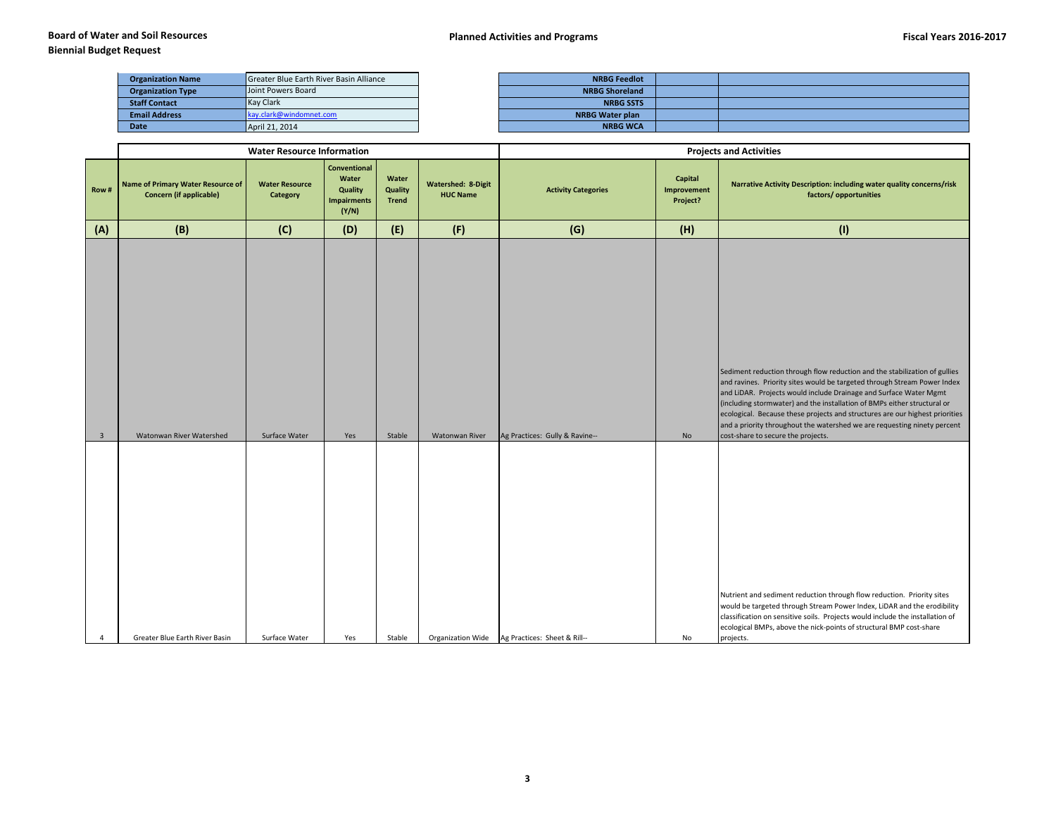| <b>Organization Name</b> | Greater Blue Earth River Basin Alliance | <b>NRBG Feedlot</b>    |
|--------------------------|-----------------------------------------|------------------------|
| <b>Organization Type</b> | Joint Powers Board                      | <b>NRBG Shoreland</b>  |
| <b>Staff Contact</b>     | <b>Kay Clark</b>                        | <b>NRBG SSTS</b>       |
| <b>Email Address</b>     | kay.clark@windomnet.com                 | <b>NRBG Water plan</b> |
| Date                     | April 21, 2014                          | <b>NRBG WCA</b>        |

| <b>NRBG Feedlot</b>    |  |
|------------------------|--|
| <b>NRBG Shoreland</b>  |  |
| <b>NRBG SSTS</b>       |  |
| <b>NRBG Water plan</b> |  |
| <b>NRBG WCA</b>        |  |

|                         |                                                                            | <b>Water Resource Information</b>        |                                                                 |                                  |                                              | <b>Projects and Activities</b> |                                    |                                                                                                                                                                                                                                                                                                                                                                                                                                                                                                           |  |
|-------------------------|----------------------------------------------------------------------------|------------------------------------------|-----------------------------------------------------------------|----------------------------------|----------------------------------------------|--------------------------------|------------------------------------|-----------------------------------------------------------------------------------------------------------------------------------------------------------------------------------------------------------------------------------------------------------------------------------------------------------------------------------------------------------------------------------------------------------------------------------------------------------------------------------------------------------|--|
| Row#                    | <b>Name of Primary Water Resource of</b><br><b>Concern (if applicable)</b> | <b>Water Resource</b><br><b>Category</b> | Conventional<br>Water<br>Quality<br><b>Impairments</b><br>(Y/N) | Water<br>Quality<br><b>Trend</b> | <b>Watershed: 8-Digit</b><br><b>HUC Name</b> | <b>Activity Categories</b>     | Capital<br>Improvement<br>Project? | Narrative Activity Description: including water quality concerns/risk<br>factors/ opportunities                                                                                                                                                                                                                                                                                                                                                                                                           |  |
| (A)                     | (B)                                                                        | (C)                                      | (D)                                                             | (E)                              | (F)                                          | (G)                            | (H)                                | (1)                                                                                                                                                                                                                                                                                                                                                                                                                                                                                                       |  |
| $\overline{\mathbf{3}}$ | Watonwan River Watershed                                                   | Surface Water                            | Yes                                                             | Stable                           | Watonwan River                               | Ag Practices: Gully & Ravine-- | No                                 | Sediment reduction through flow reduction and the stabilization of gullies<br>and ravines. Priority sites would be targeted through Stream Power Index<br>and LiDAR. Projects would include Drainage and Surface Water Mgmt<br>(including stormwater) and the installation of BMPs either structural or<br>ecological. Because these projects and structures are our highest priorities<br>and a priority throughout the watershed we are requesting ninety percent<br>cost-share to secure the projects. |  |
| 4                       | Greater Blue Earth River Basin                                             | Surface Water                            | Yes                                                             | Stable                           | Organization Wide                            | Ag Practices: Sheet & Rill--   | No                                 | Nutrient and sediment reduction through flow reduction. Priority sites<br>would be targeted through Stream Power Index, LiDAR and the erodibility<br>classification on sensitive soils. Projects would include the installation of<br>ecological BMPs, above the nick-points of structural BMP cost-share<br>projects.                                                                                                                                                                                    |  |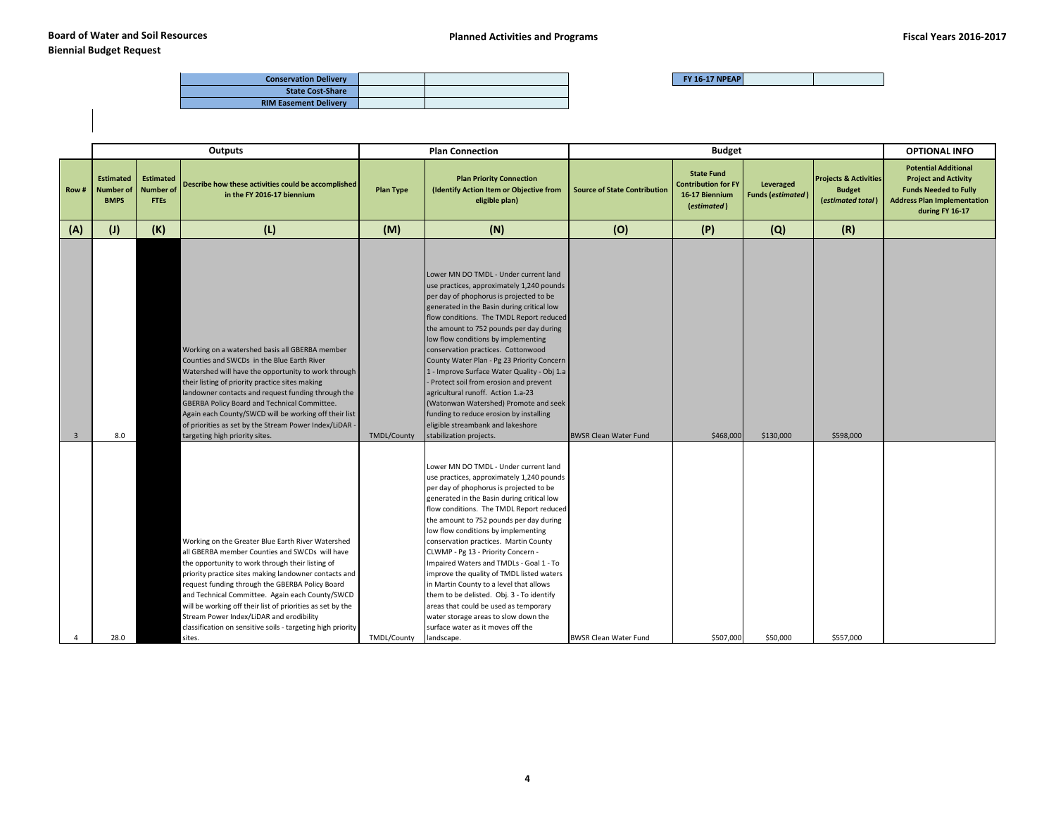| <b>Conservation Delivery</b> |  |
|------------------------------|--|
| <b>State Cost-Share</b>      |  |
| <b>RIM Easement Delivery</b> |  |

|                |                                                     |                                                     | <b>Outputs</b>                                                                                                                                                                                                                                                                                                                                                                                                                                                                                            |                    | <b>Plan Connection</b>                                                                                                                                                                                                                                                                                                                                                                                                                                                                                                                                                                                                                                                                                       | <b>Budget</b>                       |                                                                                  |                                       |                                                                        |                                                                                                                                                     |  |  | <b>OPTIONAL INFO</b> |
|----------------|-----------------------------------------------------|-----------------------------------------------------|-----------------------------------------------------------------------------------------------------------------------------------------------------------------------------------------------------------------------------------------------------------------------------------------------------------------------------------------------------------------------------------------------------------------------------------------------------------------------------------------------------------|--------------------|--------------------------------------------------------------------------------------------------------------------------------------------------------------------------------------------------------------------------------------------------------------------------------------------------------------------------------------------------------------------------------------------------------------------------------------------------------------------------------------------------------------------------------------------------------------------------------------------------------------------------------------------------------------------------------------------------------------|-------------------------------------|----------------------------------------------------------------------------------|---------------------------------------|------------------------------------------------------------------------|-----------------------------------------------------------------------------------------------------------------------------------------------------|--|--|----------------------|
| Row#           | <b>Estimated</b><br><b>Number of</b><br><b>BMPS</b> | <b>Estimated</b><br><b>Number of</b><br><b>FTEs</b> | Describe how these activities could be accomplished<br>in the FY 2016-17 biennium                                                                                                                                                                                                                                                                                                                                                                                                                         | <b>Plan Type</b>   | <b>Plan Priority Connection</b><br>(Identify Action Item or Objective from<br>eligible plan)                                                                                                                                                                                                                                                                                                                                                                                                                                                                                                                                                                                                                 | <b>Source of State Contribution</b> | <b>State Fund</b><br><b>Contribution for FY</b><br>16-17 Biennium<br>(estimated) | Leveraged<br><b>Funds (estimated)</b> | <b>Projects &amp; Activities</b><br><b>Budget</b><br>(estimated total) | <b>Potential Additional</b><br><b>Project and Activity</b><br><b>Funds Needed to Fully</b><br><b>Address Plan Implementation</b><br>during FY 16-17 |  |  |                      |
| (A)            | (1)                                                 | (K)                                                 | (L)                                                                                                                                                                                                                                                                                                                                                                                                                                                                                                       | (M)                | (N)                                                                                                                                                                                                                                                                                                                                                                                                                                                                                                                                                                                                                                                                                                          | (O)                                 | (P)                                                                              | (Q)                                   | (R)                                                                    |                                                                                                                                                     |  |  |                      |
| $\overline{3}$ | 8.0                                                 |                                                     | Working on a watershed basis all GBERBA member<br>Counties and SWCDs in the Blue Earth River<br>Watershed will have the opportunity to work through<br>their listing of priority practice sites making<br>landowner contacts and request funding through the<br>GBERBA Policy Board and Technical Committee.<br>Again each County/SWCD will be working off their list<br>of priorities as set by the Stream Power Index/LiDAR -<br>targeting high priority sites.                                         | <b>TMDL/County</b> | Lower MN DO TMDL - Under current land<br>use practices, approximately 1,240 pounds<br>per day of phophorus is projected to be<br>generated in the Basin during critical low<br>flow conditions. The TMDL Report reduced<br>the amount to 752 pounds per day during<br>low flow conditions by implementing<br>conservation practices. Cottonwood<br>County Water Plan - Pg 23 Priority Concern<br>1 - Improve Surface Water Quality - Obj 1.a<br>- Protect soil from erosion and prevent<br>agricultural runoff. Action 1.a-23<br>(Watonwan Watershed) Promote and seek<br>funding to reduce erosion by installing<br>eligible streambank and lakeshore<br>stabilization projects.                            | <b>BWSR Clean Water Fund</b>        | \$468,000                                                                        | \$130,000                             | \$598,000                                                              |                                                                                                                                                     |  |  |                      |
| $\overline{a}$ | 28.0                                                |                                                     | Working on the Greater Blue Earth River Watershed<br>all GBERBA member Counties and SWCDs will have<br>the opportunity to work through their listing of<br>priority practice sites making landowner contacts and<br>request funding through the GBERBA Policy Board<br>and Technical Committee. Again each County/SWCD<br>will be working off their list of priorities as set by the<br>Stream Power Index/LiDAR and erodibility<br>classification on sensitive soils - targeting high priority<br>sites. | TMDL/County        | Lower MN DO TMDL - Under current land<br>use practices, approximately 1,240 pounds<br>per day of phophorus is projected to be<br>generated in the Basin during critical low<br>flow conditions. The TMDL Report reduced<br>the amount to 752 pounds per day during<br>low flow conditions by implementing<br>conservation practices. Martin County<br>CLWMP - Pg 13 - Priority Concern -<br>Impaired Waters and TMDLs - Goal 1 - To<br>improve the quality of TMDL listed waters<br>in Martin County to a level that allows<br>them to be delisted. Obj. 3 - To identify<br>areas that could be used as temporary<br>water storage areas to slow down the<br>surface water as it moves off the<br>landscape. | <b>BWSR Clean Water Fund</b>        | \$507,000                                                                        | \$50,000                              | \$557,000                                                              |                                                                                                                                                     |  |  |                      |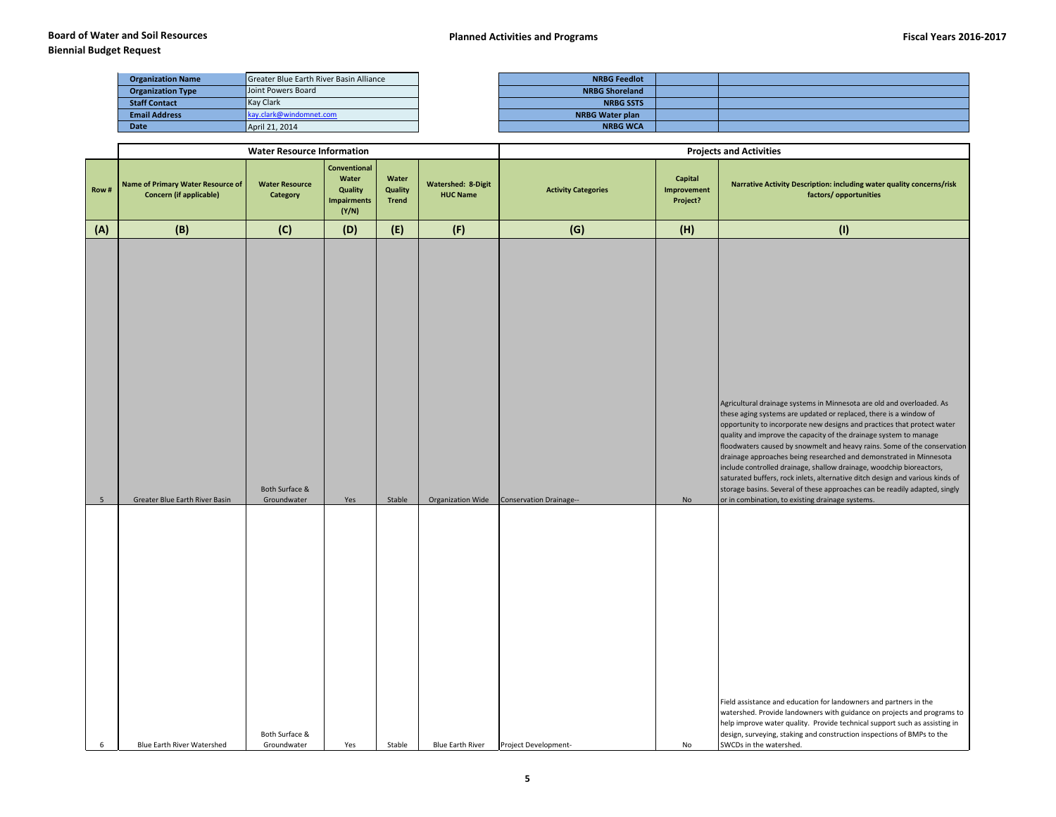| <b>Organization Name</b> | <b>Greater Blue Earth River Basin Alliance</b> | <b>NRBG Feedlot</b>    |
|--------------------------|------------------------------------------------|------------------------|
| <b>Organization Type</b> | Joint Powers Board                             | <b>NRBG Shoreland</b>  |
| <b>Staff Contact</b>     | Kay Clark                                      | <b>NRBG SSTS</b>       |
| <b>Email Address</b>     | kay.clark@windomnet.com                        | <b>NRBG Water plan</b> |

| <b>Organization Name</b> | <b>Greater Blue Earth River Basin Alliance</b> | <b>NRBG Feedlot</b>    |  |
|--------------------------|------------------------------------------------|------------------------|--|
| <b>Organization Type</b> | Joint Powers Board                             | <b>NRBG Shoreland</b>  |  |
| <b>Staff Contact</b>     | <b>Kay Clark</b>                               | <b>NRBG SSTS</b>       |  |
| <b>Email Address</b>     | kav.clark@windomnet.com                        | <b>NRBG Water plan</b> |  |
| <b>Date</b>              | April 21, 2014                                 | <b>NRBG WCA</b>        |  |

|                 |                                                                            | <b>Water Resource Information</b>              |                                                                        |                                  |                                              | <b>Projects and Activities</b>                                                                                                                                                                                                                                                                                                                                                                                                                                                                                                                                                                                                                                                                                                                |                                           |                                                                                                                                                                                                                                                                                                                                 |  |  |  |  |
|-----------------|----------------------------------------------------------------------------|------------------------------------------------|------------------------------------------------------------------------|----------------------------------|----------------------------------------------|-----------------------------------------------------------------------------------------------------------------------------------------------------------------------------------------------------------------------------------------------------------------------------------------------------------------------------------------------------------------------------------------------------------------------------------------------------------------------------------------------------------------------------------------------------------------------------------------------------------------------------------------------------------------------------------------------------------------------------------------------|-------------------------------------------|---------------------------------------------------------------------------------------------------------------------------------------------------------------------------------------------------------------------------------------------------------------------------------------------------------------------------------|--|--|--|--|
| Row#            | <b>Name of Primary Water Resource of</b><br><b>Concern (if applicable)</b> | <b>Water Resource</b><br>Category              | <b>Conventional</b><br>Water<br>Quality<br><b>Impairments</b><br>(Y/N) | Water<br>Quality<br><b>Trend</b> | <b>Watershed: 8-Digit</b><br><b>HUC Name</b> | <b>Activity Categories</b>                                                                                                                                                                                                                                                                                                                                                                                                                                                                                                                                                                                                                                                                                                                    | Capital<br><b>Improvement</b><br>Project? | Narrative Activity Description: including water quality concerns/risk<br>factors/opportunities                                                                                                                                                                                                                                  |  |  |  |  |
| (A)             | (B)                                                                        | (C)                                            | (D)                                                                    | (E)                              | (F)                                          | (G)                                                                                                                                                                                                                                                                                                                                                                                                                                                                                                                                                                                                                                                                                                                                           | (H)                                       | (1)                                                                                                                                                                                                                                                                                                                             |  |  |  |  |
| $5\phantom{.0}$ | Greater Blue Earth River Basin                                             | Both Surface &<br>Groundwater<br>Stable<br>Yes |                                                                        | Organization Wide                | <b>Conservation Drainage--</b>               | Agricultural drainage systems in Minnesota are old and overloaded. As<br>these aging systems are updated or replaced, there is a window of<br>opportunity to incorporate new designs and practices that protect water<br>quality and improve the capacity of the drainage system to manage<br>floodwaters caused by snowmelt and heavy rains. Some of the conservation<br>drainage approaches being researched and demonstrated in Minnesota<br>include controlled drainage, shallow drainage, woodchip bioreactors,<br>saturated buffers, rock inlets, alternative ditch design and various kinds of<br>storage basins. Several of these approaches can be readily adapted, singly<br>or in combination, to existing drainage systems.<br>No |                                           |                                                                                                                                                                                                                                                                                                                                 |  |  |  |  |
| $6\overline{6}$ | <b>Blue Earth River Watershed</b>                                          | Both Surface &<br>Groundwater                  | Yes                                                                    | Stable                           | <b>Blue Earth River</b>                      | Project Development-                                                                                                                                                                                                                                                                                                                                                                                                                                                                                                                                                                                                                                                                                                                          | No                                        | Field assistance and education for landowners and partners in the<br>watershed. Provide landowners with guidance on projects and programs to<br>help improve water quality. Provide technical support such as assisting in<br>design, surveying, staking and construction inspections of BMPs to the<br>SWCDs in the watershed. |  |  |  |  |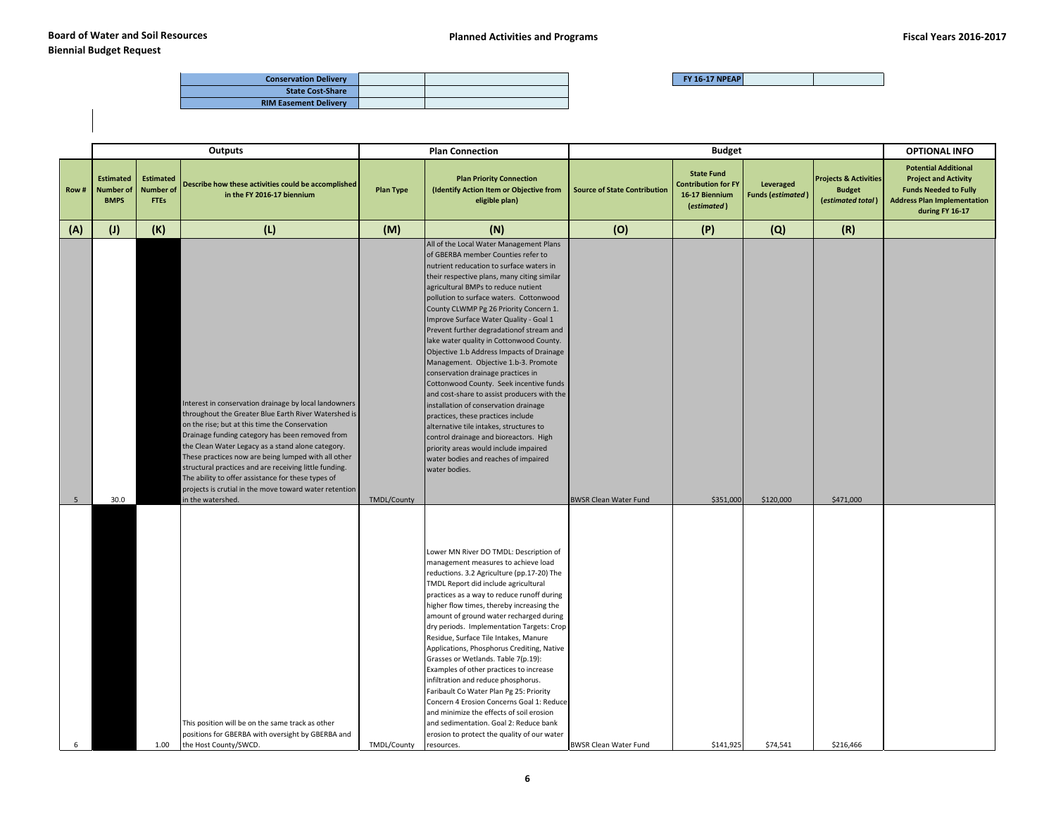| <b>Conservation Delivery</b> |  |
|------------------------------|--|
| <b>State Cost-Share</b>      |  |
| <b>RIM Easement Delivery</b> |  |

|                | Outputs                                                                                                                                                             |                                                     |                                                                                                                                                                                                                                                                                                                                                                                                                                                                                                          |                                                                                                                                                                                                                                                                                                                                                                                                                                                                                                                                                                                                                                                                                                                                                                                                                   | <b>Plan Connection</b>                                                                                                                                                                                                                                                                                                                                                                                                                                                                                                                                                                                                                                                                                                                                                                                                                                                                                                            |                                     |                                                                                  | <b>OPTIONAL INFO</b>                  |                                                                        |                                                                                                                                                     |
|----------------|---------------------------------------------------------------------------------------------------------------------------------------------------------------------|-----------------------------------------------------|----------------------------------------------------------------------------------------------------------------------------------------------------------------------------------------------------------------------------------------------------------------------------------------------------------------------------------------------------------------------------------------------------------------------------------------------------------------------------------------------------------|-------------------------------------------------------------------------------------------------------------------------------------------------------------------------------------------------------------------------------------------------------------------------------------------------------------------------------------------------------------------------------------------------------------------------------------------------------------------------------------------------------------------------------------------------------------------------------------------------------------------------------------------------------------------------------------------------------------------------------------------------------------------------------------------------------------------|-----------------------------------------------------------------------------------------------------------------------------------------------------------------------------------------------------------------------------------------------------------------------------------------------------------------------------------------------------------------------------------------------------------------------------------------------------------------------------------------------------------------------------------------------------------------------------------------------------------------------------------------------------------------------------------------------------------------------------------------------------------------------------------------------------------------------------------------------------------------------------------------------------------------------------------|-------------------------------------|----------------------------------------------------------------------------------|---------------------------------------|------------------------------------------------------------------------|-----------------------------------------------------------------------------------------------------------------------------------------------------|
| Row#           | <b>Estimated</b><br><b>Number of</b><br><b>BMPS</b>                                                                                                                 | <b>Estimated</b><br><b>Number of</b><br><b>FTEs</b> | Describe how these activities could be accomplished<br>in the FY 2016-17 biennium                                                                                                                                                                                                                                                                                                                                                                                                                        | <b>Plan Priority Connection</b><br>(Identify Action Item or Objective from<br><b>Plan Type</b><br>eligible plan)                                                                                                                                                                                                                                                                                                                                                                                                                                                                                                                                                                                                                                                                                                  |                                                                                                                                                                                                                                                                                                                                                                                                                                                                                                                                                                                                                                                                                                                                                                                                                                                                                                                                   | <b>Source of State Contribution</b> | <b>State Fund</b><br><b>Contribution for FY</b><br>16-17 Biennium<br>(estimated) | Leveraged<br><b>Funds (estimated)</b> | <b>Projects &amp; Activities</b><br><b>Budget</b><br>(estimated total) | <b>Potential Additional</b><br><b>Project and Activity</b><br><b>Funds Needed to Fully</b><br><b>Address Plan Implementation</b><br>during FY 16-17 |
| (A)            | (1)                                                                                                                                                                 | (K)                                                 | (L)                                                                                                                                                                                                                                                                                                                                                                                                                                                                                                      | (M)                                                                                                                                                                                                                                                                                                                                                                                                                                                                                                                                                                                                                                                                                                                                                                                                               | (N)                                                                                                                                                                                                                                                                                                                                                                                                                                                                                                                                                                                                                                                                                                                                                                                                                                                                                                                               | (O)                                 | (P)                                                                              | (Q)                                   | (R)                                                                    |                                                                                                                                                     |
| 5 <sub>5</sub> |                                                                                                                                                                     |                                                     | Interest in conservation drainage by local landowners<br>throughout the Greater Blue Earth River Watershed is<br>on the rise; but at this time the Conservation<br>Drainage funding category has been removed from<br>the Clean Water Legacy as a stand alone category.<br>These practices now are being lumped with all other<br>structural practices and are receiving little funding.<br>The ability to offer assistance for these types of<br>projects is crutial in the move toward water retention | TMDL/County                                                                                                                                                                                                                                                                                                                                                                                                                                                                                                                                                                                                                                                                                                                                                                                                       | All of the Local Water Management Plans<br>of GBERBA member Counties refer to<br>nutrient reducation to surface waters in<br>their respective plans, many citing similar<br>agricultural BMPs to reduce nutient<br>pollution to surface waters. Cottonwood<br>County CLWMP Pg 26 Priority Concern 1.<br>Improve Surface Water Quality - Goal 1<br>Prevent further degradationof stream and<br>lake water quality in Cottonwood County.<br>Objective 1.b Address Impacts of Drainage<br>Management. Objective 1.b-3. Promote<br>conservation drainage practices in<br>Cottonwood County. Seek incentive funds<br>and cost-share to assist producers with the<br>installation of conservation drainage<br>practices, these practices include<br>alternative tile intakes, structures to<br>control drainage and bioreactors. High<br>priority areas would include impaired<br>water bodies and reaches of impaired<br>water bodies. | <b>BWSR Clean Water Fund</b>        | \$351,000                                                                        | \$120,000                             | \$471,000                                                              |                                                                                                                                                     |
| 6              | 30.0<br>in the watershed.<br>This position will be on the same track as other<br>positions for GBERBA with oversight by GBERBA and<br>the Host County/SWCD.<br>1.00 |                                                     | TMDL/County                                                                                                                                                                                                                                                                                                                                                                                                                                                                                              | Lower MN River DO TMDL: Description of<br>management measures to achieve load<br>reductions. 3.2 Agriculture (pp.17-20) The<br>TMDL Report did include agricultural<br>practices as a way to reduce runoff during<br>higher flow times, thereby increasing the<br>amount of ground water recharged during<br>dry periods. Implementation Targets: Crop<br>Residue, Surface Tile Intakes, Manure<br>Applications, Phosphorus Crediting, Native<br>Grasses or Wetlands. Table 7(p.19):<br>Examples of other practices to increase<br>infiltration and reduce phosphorus.<br>Faribault Co Water Plan Pg 25: Priority<br>Concern 4 Erosion Concerns Goal 1: Reduce<br>and minimize the effects of soil erosion<br>and sedimentation. Goal 2: Reduce bank<br>erosion to protect the quality of our water<br>resources. | <b>BWSR Clean Water Fund</b>                                                                                                                                                                                                                                                                                                                                                                                                                                                                                                                                                                                                                                                                                                                                                                                                                                                                                                      | \$141,925                           | \$74,541                                                                         | \$216,466                             |                                                                        |                                                                                                                                                     |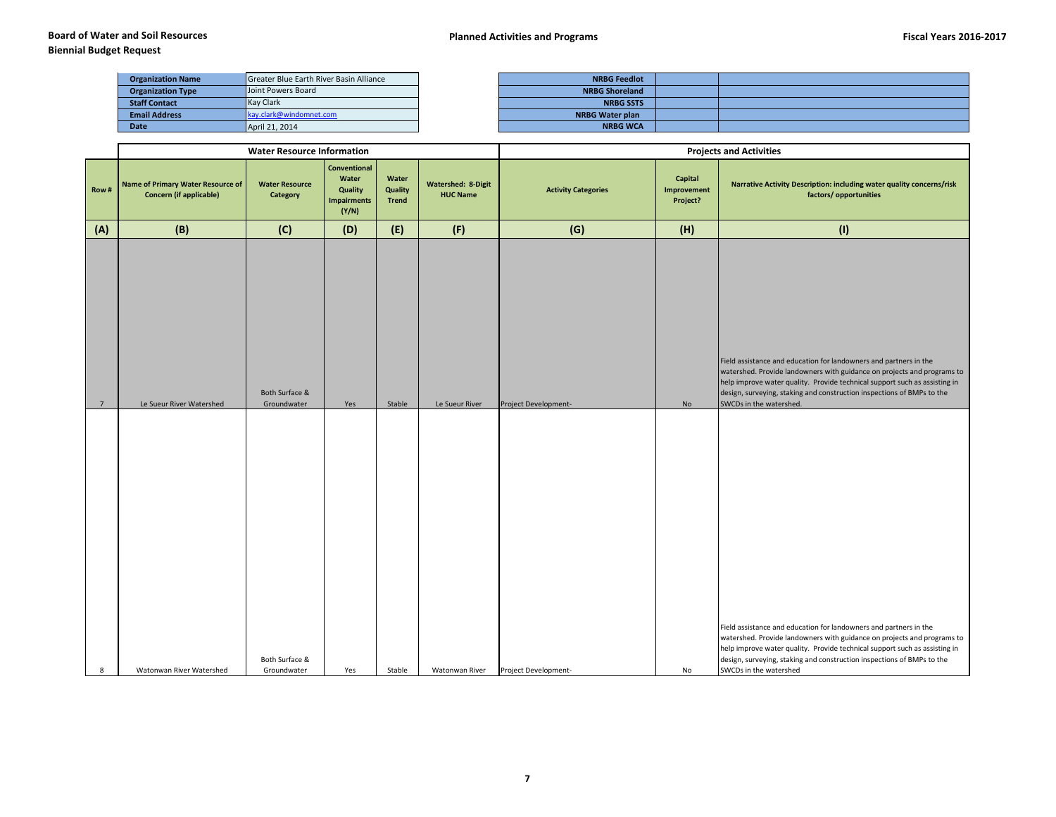## **Biennial Budget Request**

| <b>Organization Name</b> | Greater Blue Earth River Basin Alliance | <b>NRBG Feedlot</b>    |  |
|--------------------------|-----------------------------------------|------------------------|--|
| <b>Organization Type</b> | Joint Powers Board                      | <b>NRBG Shoreland</b>  |  |
| <b>Staff Contact</b>     | <b>Kay Clark</b>                        | <b>NRBG SSTS</b>       |  |
| <b>Email Address</b>     | kay.clark@windomnet.com                 | <b>NRBG Water plan</b> |  |
| <b>Date</b>              | April 21, 2014                          | <b>NRBG WCA</b>        |  |

|                |                                                                            | <b>Water Resource Information</b> |                                                                        |                                  |                                              | <b>Projects and Activities</b> |                                    |                                                                                                                                                                                                                                                                                                                                |  |  |
|----------------|----------------------------------------------------------------------------|-----------------------------------|------------------------------------------------------------------------|----------------------------------|----------------------------------------------|--------------------------------|------------------------------------|--------------------------------------------------------------------------------------------------------------------------------------------------------------------------------------------------------------------------------------------------------------------------------------------------------------------------------|--|--|
| Row#           | <b>Name of Primary Water Resource of</b><br><b>Concern (if applicable)</b> | <b>Water Resource</b><br>Category | <b>Conventional</b><br>Water<br>Quality<br><b>Impairments</b><br>(Y/N) | Water<br>Quality<br><b>Trend</b> | <b>Watershed: 8-Digit</b><br><b>HUC Name</b> | <b>Activity Categories</b>     | Capital<br>Improvement<br>Project? | Narrative Activity Description: including water quality concerns/risk<br>factors/opportunities                                                                                                                                                                                                                                 |  |  |
| (A)            | (B)                                                                        | (C)                               | (D)                                                                    | (E)                              | (F)                                          | (G)                            | (H)                                | (1)                                                                                                                                                                                                                                                                                                                            |  |  |
|                |                                                                            |                                   |                                                                        |                                  |                                              |                                |                                    | Field assistance and education for landowners and partners in the<br>watershed. Provide landowners with guidance on projects and programs to                                                                                                                                                                                   |  |  |
|                |                                                                            | Both Surface &                    |                                                                        |                                  |                                              |                                |                                    | help improve water quality. Provide technical support such as assisting in<br>design, surveying, staking and construction inspections of BMPs to the                                                                                                                                                                           |  |  |
| $\overline{7}$ | Le Sueur River Watershed                                                   | Groundwater                       | Yes                                                                    | Stable                           | Le Sueur River                               | Project Development-           | No                                 | SWCDs in the watershed.                                                                                                                                                                                                                                                                                                        |  |  |
|                |                                                                            |                                   |                                                                        |                                  |                                              |                                |                                    |                                                                                                                                                                                                                                                                                                                                |  |  |
| 8              | Watonwan River Watershed                                                   | Both Surface &<br>Groundwater     | Yes                                                                    | Stable                           | Watonwan River                               | Project Development-           | No                                 | Field assistance and education for landowners and partners in the<br>watershed. Provide landowners with guidance on projects and programs to<br>help improve water quality. Provide technical support such as assisting in<br>design, surveying, staking and construction inspections of BMPs to the<br>SWCDs in the watershed |  |  |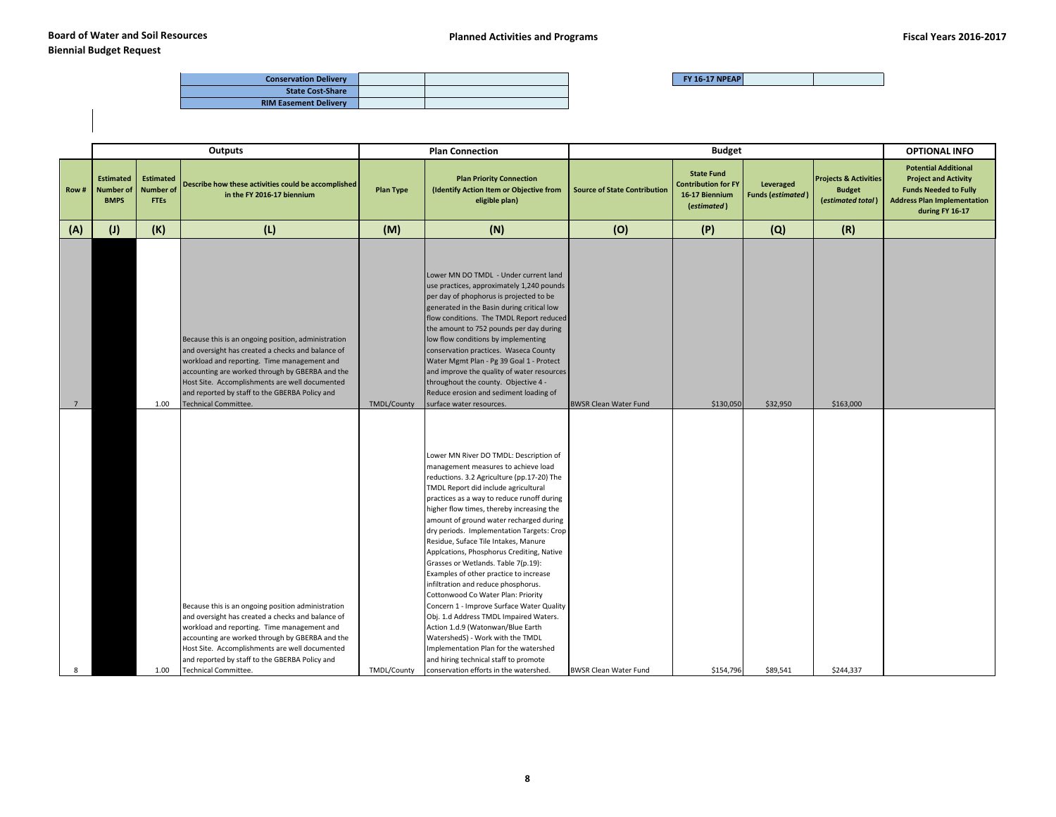| <b>Conservation Delivery</b> |  |
|------------------------------|--|
| <b>State Cost-Share</b>      |  |
| <b>RIM Easement Delivery</b> |  |

|                 |                                                     |                                                     | <b>Outputs</b>                                                                                                                                                                                                                                               |                    | <b>Plan Connection</b>                                                                                                                                                                                                                                                                                                                                                                                                                                                                                                                                                                                                                                                                                                                                                                                             |                                     |                                                                                  | <b>OPTIONAL INFO</b>                  |                                                                        |                                                                                                                                                     |
|-----------------|-----------------------------------------------------|-----------------------------------------------------|--------------------------------------------------------------------------------------------------------------------------------------------------------------------------------------------------------------------------------------------------------------|--------------------|--------------------------------------------------------------------------------------------------------------------------------------------------------------------------------------------------------------------------------------------------------------------------------------------------------------------------------------------------------------------------------------------------------------------------------------------------------------------------------------------------------------------------------------------------------------------------------------------------------------------------------------------------------------------------------------------------------------------------------------------------------------------------------------------------------------------|-------------------------------------|----------------------------------------------------------------------------------|---------------------------------------|------------------------------------------------------------------------|-----------------------------------------------------------------------------------------------------------------------------------------------------|
| Row#            | <b>Estimated</b><br><b>Number of</b><br><b>BMPS</b> | <b>Estimated</b><br><b>Number of</b><br><b>FTEs</b> | Describe how these activities could be accomplished<br>in the FY 2016-17 biennium                                                                                                                                                                            | <b>Plan Type</b>   | <b>Plan Priority Connection</b><br>(Identify Action Item or Objective from<br>eligible plan)                                                                                                                                                                                                                                                                                                                                                                                                                                                                                                                                                                                                                                                                                                                       | <b>Source of State Contribution</b> | <b>State Fund</b><br><b>Contribution for FY</b><br>16-17 Biennium<br>(estimated) | Leveraged<br><b>Funds (estimated)</b> | <b>Projects &amp; Activities</b><br><b>Budget</b><br>(estimated total) | <b>Potential Additional</b><br><b>Project and Activity</b><br><b>Funds Needed to Fully</b><br><b>Address Plan Implementation</b><br>during FY 16-17 |
| (A)             | (J)                                                 | (K)                                                 | (L)                                                                                                                                                                                                                                                          | (M)                | (N)                                                                                                                                                                                                                                                                                                                                                                                                                                                                                                                                                                                                                                                                                                                                                                                                                | (O)                                 | (P)                                                                              | (Q)                                   | (R)                                                                    |                                                                                                                                                     |
|                 |                                                     |                                                     | Because this is an ongoing position, administration<br>and oversight has created a checks and balance of<br>workload and reporting. Time management and<br>accounting are worked through by GBERBA and the<br>Host Site. Accomplishments are well documented |                    | Lower MN DO TMDL - Under current land<br>use practices, approximately 1,240 pounds<br>per day of phophorus is projected to be<br>generated in the Basin during critical low<br>flow conditions. The TMDL Report reduced<br>the amount to 752 pounds per day during<br>low flow conditions by implementing<br>conservation practices. Waseca County<br>Water Mgmt Plan - Pg 39 Goal 1 - Protect<br>and improve the quality of water resources<br>throughout the county. Objective 4 -                                                                                                                                                                                                                                                                                                                               |                                     |                                                                                  |                                       |                                                                        |                                                                                                                                                     |
| $7\overline{ }$ |                                                     | 1.00                                                | and reported by staff to the GBERBA Policy and<br><b>Technical Committee.</b>                                                                                                                                                                                | <b>TMDL/County</b> | Reduce erosion and sediment loading of<br>surface water resources.                                                                                                                                                                                                                                                                                                                                                                                                                                                                                                                                                                                                                                                                                                                                                 | <b>BWSR Clean Water Fund</b>        | \$130,050                                                                        | \$32,950                              | \$163,000                                                              |                                                                                                                                                     |
|                 |                                                     |                                                     | Because this is an ongoing position administration<br>and oversight has created a checks and balance of<br>workload and reporting. Time management and<br>accounting are worked through by GBERBA and the<br>Host Site. Accomplishments are well documented  |                    | Lower MN River DO TMDL: Description of<br>management measures to achieve load<br>reductions. 3.2 Agriculture (pp.17-20) The<br>TMDL Report did include agricultural<br>practices as a way to reduce runoff during<br>higher flow times, thereby increasing the<br>amount of ground water recharged during<br>dry periods. Implementation Targets: Crop<br>Residue, Suface Tile Intakes, Manure<br>Applcations, Phosphorus Crediting, Native<br>Grasses or Wetlands. Table 7(p.19):<br>Examples of other practice to increase<br>infiltration and reduce phosphorus.<br>Cottonwood Co Water Plan: Priority<br>Concern 1 - Improve Surface Water Quality<br>Obj. 1.d Address TMDL Impaired Waters.<br>Action 1.d.9 (Watonwan/Blue Earth<br>WatershedS) - Work with the TMDL<br>Implementation Plan for the watershed |                                     |                                                                                  |                                       |                                                                        |                                                                                                                                                     |
| R               |                                                     | 1.00                                                | and reported by staff to the GBERBA Policy and<br>Technical Committee.                                                                                                                                                                                       | TMDL/County        | and hiring technical staff to promote<br>conservation efforts in the watershed.                                                                                                                                                                                                                                                                                                                                                                                                                                                                                                                                                                                                                                                                                                                                    | <b>BWSR Clean Water Fund</b>        | \$154,796                                                                        | \$89,541                              | \$244,337                                                              |                                                                                                                                                     |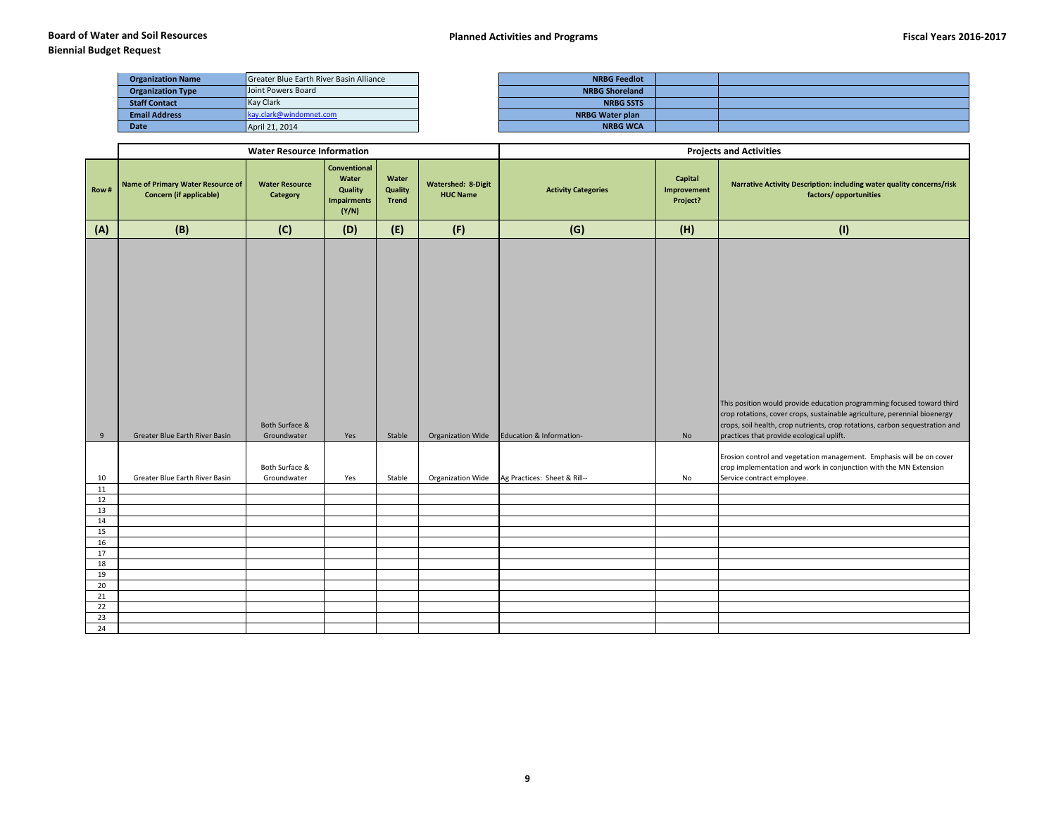## **Biennial Budget Request**

| <b>Organization Name</b> | Greater Blue Earth River Basin Alliance | <b>NRBG Feedlot</b>    |  |
|--------------------------|-----------------------------------------|------------------------|--|
| <b>Organization Type</b> | Joint Powers Board                      | <b>NRBG Shoreland</b>  |  |
| <b>Staff Contact</b>     | <b>Kay Clark</b>                        | <b>NRBG SSTS</b>       |  |
| <b>Email Address</b>     | kay.clark@windomnet.com                 | <b>NRBG Water plan</b> |  |
| <b>Date</b>              | April 21, 2014                          | <b>NRBG WCA</b>        |  |

|          |                                                                            | <b>Water Resource Information</b> |                                                                        |                                  |                                              | <b>Projects and Activities</b> |                                    |                                                                                                                                                                                                                                     |  |  |
|----------|----------------------------------------------------------------------------|-----------------------------------|------------------------------------------------------------------------|----------------------------------|----------------------------------------------|--------------------------------|------------------------------------|-------------------------------------------------------------------------------------------------------------------------------------------------------------------------------------------------------------------------------------|--|--|
| Row#     | <b>Name of Primary Water Resource of</b><br><b>Concern (if applicable)</b> | <b>Water Resource</b><br>Category | <b>Conventional</b><br>Water<br>Quality<br><b>Impairments</b><br>(Y/N) | Water<br>Quality<br><b>Trend</b> | <b>Watershed: 8-Digit</b><br><b>HUC Name</b> | <b>Activity Categories</b>     | Capital<br>Improvement<br>Project? | Narrative Activity Description: including water quality concerns/risk<br>factors/opportunities                                                                                                                                      |  |  |
| (A)      | (B)                                                                        | (C)                               | (D)                                                                    | (E)                              | (F)                                          | (G)                            | (H)                                | (1)                                                                                                                                                                                                                                 |  |  |
|          |                                                                            | Both Surface &                    |                                                                        |                                  |                                              |                                |                                    | This position would provide education programming focused toward third<br>crop rotations, cover crops, sustainable agriculture, perennial bioenergy<br>crops, soil health, crop nutrients, crop rotations, carbon sequestration and |  |  |
| 9        | Greater Blue Earth River Basin                                             | Groundwater                       | Yes                                                                    | Stable                           | Organization Wide                            | Education & Information-       | No                                 | practices that provide ecological uplift.                                                                                                                                                                                           |  |  |
| 10       | Greater Blue Earth River Basin                                             | Both Surface &<br>Groundwater     | Yes                                                                    | Stable                           | Organization Wide                            | Ag Practices: Sheet & Rill--   | No                                 | Erosion control and vegetation management. Emphasis will be on cover<br>crop implementation and work in conjunction with the MN Extension<br>Service contract employee.                                                             |  |  |
| 11       |                                                                            |                                   |                                                                        |                                  |                                              |                                |                                    |                                                                                                                                                                                                                                     |  |  |
| 12<br>13 |                                                                            |                                   |                                                                        |                                  |                                              |                                |                                    |                                                                                                                                                                                                                                     |  |  |
| 14       |                                                                            |                                   |                                                                        |                                  |                                              |                                |                                    |                                                                                                                                                                                                                                     |  |  |
| 15       |                                                                            |                                   |                                                                        |                                  |                                              |                                |                                    |                                                                                                                                                                                                                                     |  |  |
| 16       |                                                                            |                                   |                                                                        |                                  |                                              |                                |                                    |                                                                                                                                                                                                                                     |  |  |
| 17       |                                                                            |                                   |                                                                        |                                  |                                              |                                |                                    |                                                                                                                                                                                                                                     |  |  |
| 18       |                                                                            |                                   |                                                                        |                                  |                                              |                                |                                    |                                                                                                                                                                                                                                     |  |  |
| 19       |                                                                            |                                   |                                                                        |                                  |                                              |                                |                                    |                                                                                                                                                                                                                                     |  |  |
| 20       |                                                                            |                                   |                                                                        |                                  |                                              |                                |                                    |                                                                                                                                                                                                                                     |  |  |
| 21       |                                                                            |                                   |                                                                        |                                  |                                              |                                |                                    |                                                                                                                                                                                                                                     |  |  |
| 22<br>23 |                                                                            |                                   |                                                                        |                                  |                                              |                                |                                    |                                                                                                                                                                                                                                     |  |  |
| 24       |                                                                            |                                   |                                                                        |                                  |                                              |                                |                                    |                                                                                                                                                                                                                                     |  |  |
|          |                                                                            |                                   |                                                                        |                                  |                                              |                                |                                    |                                                                                                                                                                                                                                     |  |  |